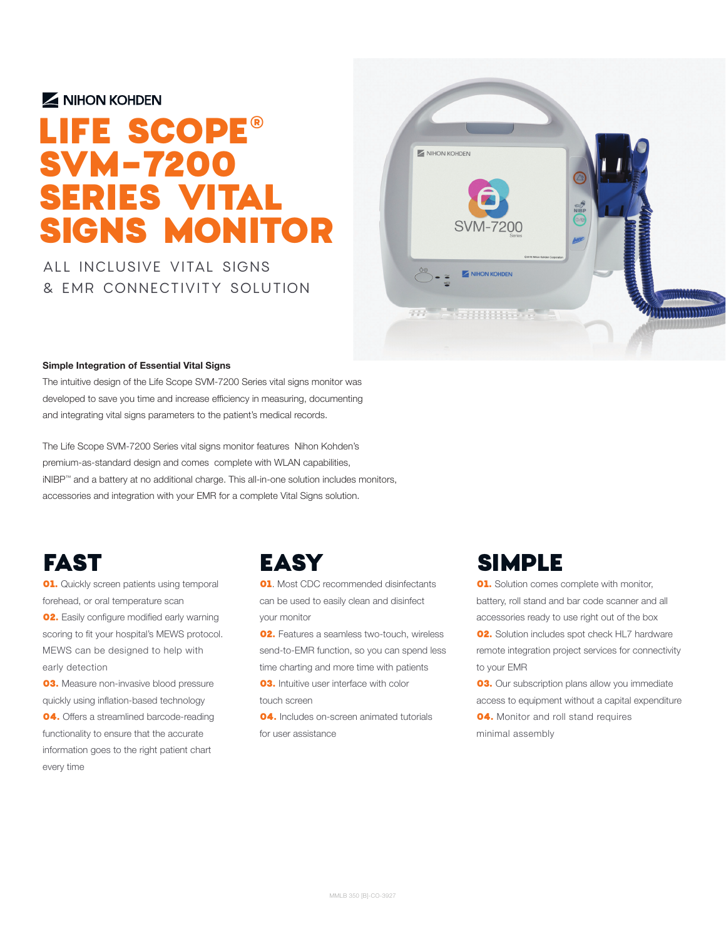#### MIHON KOHDEN

# LIFE SCOPE® SVM-7200 SERIES VITAL SIGNS MONITOR

ALL INCLUSIVE VITAL SIGNS & EMR CONNECTIVITY SOLUTION



#### **Simple Integration of Essential Vital Signs**

The intuitive design of the Life Scope SVM-7200 Series vital signs monitor was developed to save you time and increase efficiency in measuring, documenting and integrating vital signs parameters to the patient's medical records.

The Life Scope SVM-7200 Series vital signs monitor features Nihon Kohden's premium-as-standard design and comes complete with WLAN capabilities, iNIBP™ and a battery at no additional charge. This all-in-one solution includes monitors, accessories and integration with your EMR for a complete Vital Signs solution.

## **FAST**

**01.** Quickly screen patients using temporal forehead, or oral temperature scan **02.** Easily configure modified early warning scoring to fit your hospital's MEWS protocol. MEWS can be designed to help with early detection

**03.** Measure non-invasive blood pressure quickly using inflation-based technology 04. Offers a streamlined barcode-reading functionality to ensure that the accurate information goes to the right patient chart every time

#### EASY

**01.** Most CDC recommended disinfectants can be used to easily clean and disinfect your monitor

**02.** Features a seamless two-touch, wireless send-to-EMR function, so you can spend less time charting and more time with patients

**03.** Intuitive user interface with color touch screen

04. Includes on-screen animated tutorials for user assistance

#### SIMPLE

**01.** Solution comes complete with monitor, battery, roll stand and bar code scanner and all accessories ready to use right out of the box

**02.** Solution includes spot check HL7 hardware remote integration project services for connectivity to your EMR

**03.** Our subscription plans allow you immediate access to equipment without a capital expenditure **04.** Monitor and roll stand requires minimal assembly